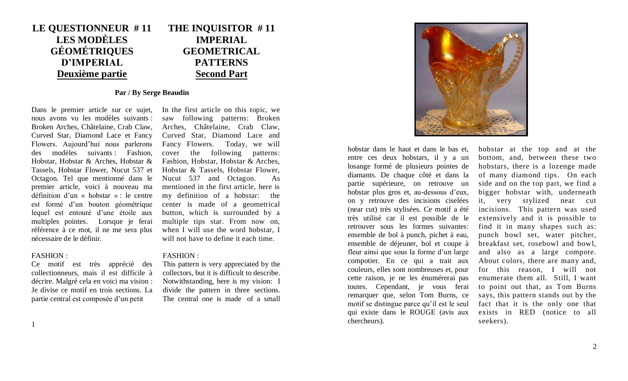### **LE QUESTIONNEUR # 11 LES MODÈLES GÉOMÉTRIQUES D'IMPERIAL Deuxième partie THE INQUISITOR # 11 IMPERIAL GEOMETRICAL PATTERNS Second Part**

# **Par / By Serge Beaudin**

Dans le premier article sur ce sujet, nous avons vu les modèles suivants : Broken Arches, Châtelaine, Crab Claw, Curved Star, Diamond Lace et Fancy Flowers. Aujourd'hui nous parlerons des modèles suivants : Fashion, Hobstar, Hobstar & Arches, Hobstar & Tassels, Hobstar Flower, Nucut 537 et Octagon. Tel que mentionné dans le premier article, voici à nouveau ma définition d'un « hobstar » : le centre est formé d'un bouton géométrique lequel est entouré d'une étoile aux multiples pointes. Lorsque je ferai référence à ce mot, il ne me sera plus nécessaire de le définir.

Ce motif est très apprécié des collectionneurs, mais il est difficile à décrire. Malgré cela en voici ma vision : Je divise ce motif en trois sections. La partie central est composée d'un petit

In the first article on this topic, we saw following patterns: Broken Arches, Châtelaine, Crab Claw, Curved Star, Diamond Lace and Fancy Flowers. Today, we will cover the following patterns: Fashion, Hobstar, Hobstar & Arches, Hobstar & Tassels, Hobstar Flower, Nucut 537 and Octagon. As mentioned in the first article, here is my definition of a hobstar: the center is made of a geometrical button, which is surrounded by a multiple tips star. From now on, when I will use the word hobstar, I will not have to define it each time.

# FASHION : FASHION :

This pattern is very appreciated by the collectors, but it is difficult to describe. Notwithstanding, here is my vision: I divide the pattern in three sections. The central one is made of a small



hobstar dans le haut et dans le bas et, entre ces deux hobstars, il y a un losange formé de plusieurs pointes de diamants. De chaque côté et dans la partie supérieure, on retrouve un hobstar plus gros et, au-dessous d'eux, on y retrouve des incisions ciselées (near cut) très stylisées. Ce motif a été très utilisé car il est possible de le retrouver sous les formes suivantes: ensemble de bol à punch, pichet à eau, ensemble de déjeuner, bol et coupe à fleur ainsi que sous la forme d'un large compotier. En ce qui a trait aux couleurs, elles sont nombreuses et, pour cette raison, je ne les énumérerai pas toutes. Cependant, je vous ferai remarquer que, selon Tom Burns, ce motif se distingue parce qu'il est le seul qui existe dans le ROUGE (avis aux chercheurs).

hobstar at the top and at the bottom, and, between these two hobstars, there is a lozenge made of many diamond tips. On each side and on the top part, we find a bigger hobstar with, underneath it, very stylized near cut incisions. This pattern was used extensively and it is possible to find it in many shapes such as: punch bowl set, water pitcher, breakfast set, rosebowl and bowl, and also as a large compote. About colors, there are many and, for this reason, I will not enumerate them all. Still, I want to point out that, as Tom Burns says, this pattern stands out by the fact that it is the only one that exists in RED (notice to all seekers).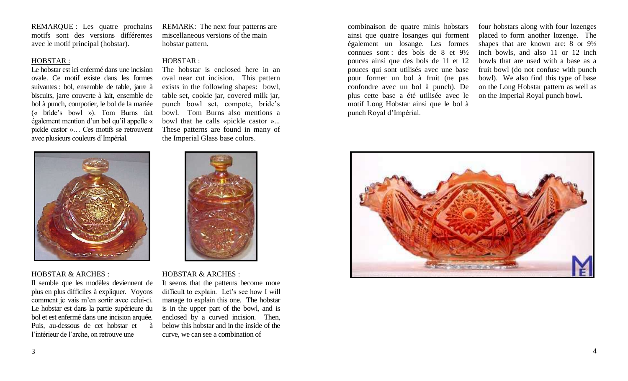REMARQUE : Les quatre prochains motifs sont des versions différentes avec le motif principal (hobstar).

# HOBSTAR : HOBSTAR :

Le hobstar est ici enfermé dans une incision ovale. Ce motif existe dans les formes suivantes : bol, ensemble de table, jarre à biscuits, jarre couverte à lait, ensemble de bol à punch, compotier, le bol de la mariée (« bride's bowl »). Tom Burns fait également mention d'un bol qu'il appelle « pickle castor »… Ces motifs se retrouvent avec plusieurs couleurs d'Impérial.

HOBSTAR & ARCHES : HOBSTAR & ARCHES :

Il semble que les modèles deviennent de plus en plus difficiles à expliquer. Voyons comment je vais m'en sortir avec celui-ci. Le hobstar est dans la partie supérieure du bol et est enfermé dans une incision arquée. Puis, au-dessous de cet hobstar et à l'intérieur de l'arche, on retrouve une

 $-1 - 5 = 0.44$ 

REMARK: The next four patterns are miscellaneous versions of the main hobstar pattern.

The hobstar is enclosed here in an oval near cut incision. This pattern exists in the following shapes: bowl, table set, cookie jar, covered milk jar, punch bowl set, compote, bride's bowl. Tom Burns also mentions a bowl that he calls «pickle castor »... These patterns are found in many of the Imperial Glass base colors.

It seems that the patterns become more difficult to explain. Let's see how I will manage to explain this one. The hobstar is in the upper part of the bowl, and is enclosed by a curved incision. Then, below this hobstar and in the inside of the curve, we can see a combination of



four hobstars along with four lozenges placed to form another lozenge. The shapes that are known are: 8 or 9½ inch bowls, and also 11 or 12 inch bowls that are used with a base as a fruit bowl (do not confuse with punch bowl). We also find this type of base on the Long Hobstar pattern as well as on the Imperial Royal punch bowl.

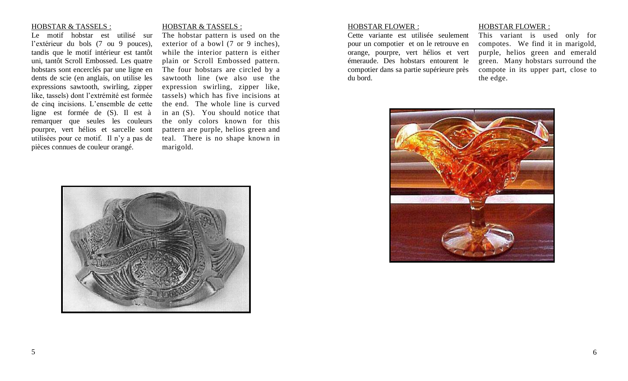### HOBSTAR & TASSELS : HOBSTAR & TASSELS :

Le motif hobstar est utilisé sur l'extérieur du bols (7 ou 9 pouces), tandis que le motif intérieur est tantôt uni, tantôt Scroll Embossed. Les quatre hobstars sont encerclés par une ligne en dents de scie (en anglais, on utilise les expressions sawtooth, swirling, zipper like, tassels) dont l'extrémité est formée de cinq incisions. L'ensemble de cette ligne est formée de (S). Il est à remarquer que seules les couleurs pourpre, vert hélios et sarcelle sont utilisées pour ce motif. Il n'y a pas de pièces connues de couleur orangé.

The hobstar pattern is used on the exterior of a bowl (7 or 9 inches), while the interior pattern is either plain or Scroll Embossed pattern. The four hobstars are circled by a sawtooth line (we also use the expression swirling, zipper like, tassels) which has five incisions at the end. The whole line is curved in an (S). You should notice that the only colors known for this pattern are purple, helios green and teal. There is no shape known in marigold.



Cette variante est utilisée seulement pour un compotier et on le retrouve en orange, pourpre, vert hélios et vert émeraude. Des hobstars entourent le compotier dans sa partie supérieure près du bord.

### HOBSTAR FLOWER : HOBSTAR FLOWER :

This variant is used only for compotes. We find it in marigold, purple, helios green and emerald green. Many hobstars surround the compote in its upper part, close to the edge.